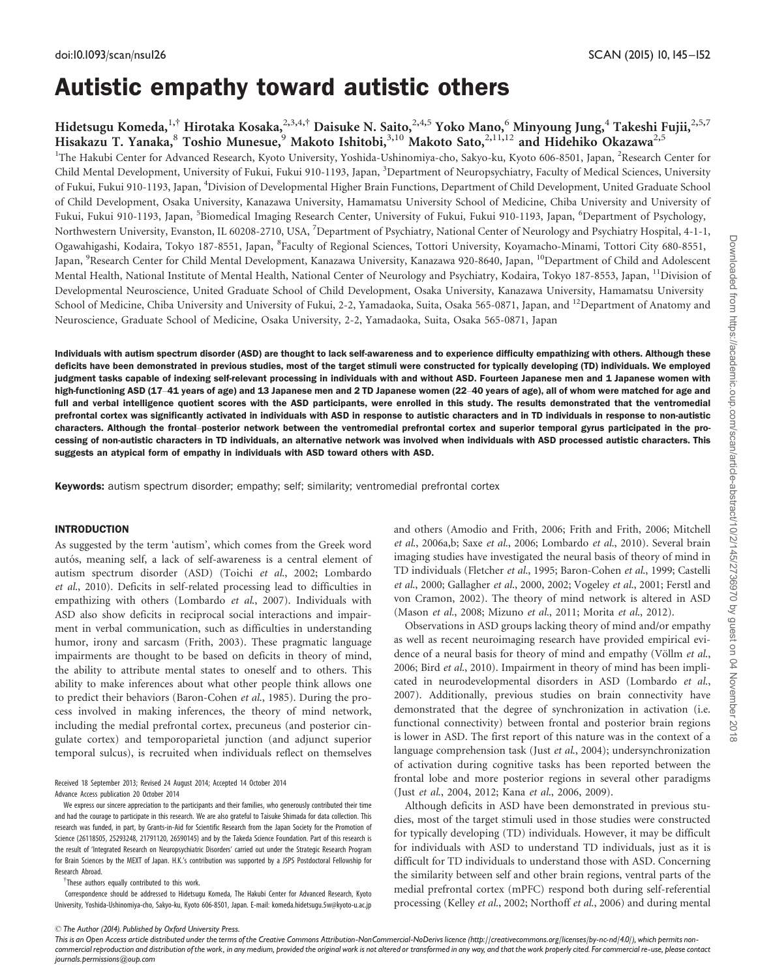# Autistic empathy toward autistic others

Hidetsugu Komeda, $^{1,\dagger}$  Hirotaka Kosaka, $^{2,3,4,\dagger}$  Daisuke N. Saito, $^{2,4,5}$  Yoko Mano, $^6$  Minyoung Jung, $^4$  Takeshi Fujii, $^{2,5,7}$ Hisakazu T. Yanaka, <sup>8</sup> Toshio Munesue, <sup>9</sup> Makoto Ishitobi, <sup>3,10</sup> Makoto Sato, <sup>2,11,12</sup> and Hidehiko Okazawa<sup>2,5</sup> <sup>1</sup>The Hakubi Center for Advanced Research, Kyoto University, Yoshida-Ushinomiya-cho, Sakyo-ku, Kyoto 606-8501, Japan, <sup>2</sup>Research Center for Child Mental Development, University of Fukui, Fukui 910-1193, Japan, <sup>3</sup>Department of Neuropsychiatry, Faculty of Medical Sciences, University of Fukui, Fukui 910-1193, Japan, <sup>4</sup>Division of Developmental Higher Brain Functions, Department of Child Development, United Graduate School of Child Development, Osaka University, Kanazawa University, Hamamatsu University School of Medicine, Chiba University and University of Fukui, Fukui 910-1193, Japan, <sup>5</sup>Biomedical Imaging Research Center, University of Fukui, Fukui 910-1193, Japan, <sup>6</sup>Department of Psychology, Northwestern University, Evanston, IL 60208-2710, USA, <sup>7</sup>Department of Psychiatry, National Center of Neurology and Psychiatry Hospital, 4-1-1, Ogawahigashi, Kodaira, Tokyo 187-8551, Japan, <sup>8</sup>Faculty of Regional Sciences, Tottori University, Koyamacho-Minami, Tottori City 680-8551, Japan, <sup>9</sup>Research Center for Child Mental Development, Kanazawa University, Kanazawa 920-8640, Japan, <sup>10</sup>Department of Child and Adolescent Mental Health, National Institute of Mental Health, National Center of Neurology and Psychiatry, Kodaira, Tokyo 187-8553, Japan, <sup>11</sup>Division of Developmental Neuroscience, United Graduate School of Child Development, Osaka University, Kanazawa University, Hamamatsu University School of Medicine, Chiba University and University of Fukui, 2-2, Yamadaoka, Suita, Osaka 565-0871, Japan, and <sup>12</sup>Department of Anatomy and Neuroscience, Graduate School of Medicine, Osaka University, 2-2, Yamadaoka, Suita, Osaka 565-0871, Japan

Individuals with autism spectrum disorder (ASD) are thought to lack self-awareness and to experience difficulty empathizing with others. Although these deficits have been demonstrated in previous studies, most of the target stimuli were constructed for typically developing (TD) individuals. We employed judgment tasks capable of indexing self-relevant processing in individuals with and without ASD. Fourteen Japanese men and 1 Japanese women with high-functioning ASD (17–41 years of age) and 13 Japanese men and 2 TD Japanese women (22–40 years of age), all of whom were matched for age and full and verbal intelligence quotient scores with the ASD participants, were enrolled in this study. The results demonstrated that the ventromedial prefrontal cortex was significantly activated in individuals with ASD in response to autistic characters and in TD individuals in response to non-autistic characters. Although the frontal–posterior network between the ventromedial prefrontal cortex and superior temporal gyrus participated in the processing of non-autistic characters in TD individuals, an alternative network was involved when individuals with ASD processed autistic characters. This suggests an atypical form of empathy in individuals with ASD toward others with ASD.

Keywords: autism spectrum disorder; empathy; self; similarity; ventromedial prefrontal cortex

# INTRODUCTION

As suggested by the term 'autism', which comes from the Greek word autós, meaning self, a lack of self-awareness is a central element of autism spectrum disorder (ASD) (Toichi et al[., 2002;](#page-7-0) [Lombardo](#page-6-0) et al[., 2010\)](#page-6-0). Deficits in self-related processing lead to difficulties in empathizing with others [\(Lombardo](#page-6-0) et al., 2007). Individuals with ASD also show deficits in reciprocal social interactions and impairment in verbal communication, such as difficulties in understanding humor, irony and sarcasm [\(Frith, 2003\)](#page-6-0). These pragmatic language impairments are thought to be based on deficits in theory of mind, the ability to attribute mental states to oneself and to others. This ability to make inferences about what other people think allows one to predict their behaviors ([Baron-Cohen](#page-6-0) et al., 1985). During the process involved in making inferences, the theory of mind network, including the medial prefrontal cortex, precuneus (and posterior cingulate cortex) and temporoparietal junction (and adjunct superior temporal sulcus), is recruited when individuals reflect on themselves

Received 18 September 2013; Revised 24 August 2014; Accepted 14 October 2014 Advance Access publication 20 October 2014

We express our sincere appreciation to the participants and their families, who generously contributed their time and had the courage to participate in this research. We are also grateful to Taisuke Shimada for data collection. This research was funded, in part, by Grants-in-Aid for Scientific Research from the Japan Society for the Promotion of Science (26118505, 25293248, 21791120, 26590145) and by the Takeda Science Foundation. Part of this research is the result of 'Integrated Research on Neuropsychiatric Disorders' carried out under the Strategic Research Program for Brain Sciences by the MEXT of Japan. H.K.'s contribution was supported by a JSPS Postdoctoral Fellowship for Research Abroad.

 $\dagger$ These authors equally contributed to this work.

Correspondence should be addressed to Hidetsugu Komeda, The Hakubi Center for Advanced Research, Kyoto University, Yoshida-Ushinomiya-cho, Sakyo-ku, Kyoto 606-8501, Japan. E-mail: komeda.hidetsugu.5w@kyoto-u.ac.jp

and others [\(Amodio and Frith, 2006; Frith and Frith, 2006; Mitchell](#page-6-0) et al[., 2006a,b;](#page-6-0) Saxe et al[., 2006;](#page-7-0) [Lombardo](#page-6-0) et al., 2010). Several brain imaging studies have investigated the neural basis of theory of mind in TD individuals [\(Fletcher](#page-6-0) et al., 1995; [Baron-Cohen](#page-6-0) et al., 1999; [Castelli](#page-6-0) et al[., 2000](#page-6-0); [Gallagher](#page-6-0) et al., 2000, [2002;](#page-6-0) [Vogeley](#page-7-0) et al., 2001; [Ferstl and](#page-6-0) [von Cramon, 2002\)](#page-6-0). The theory of mind network is altered in ASD ([Mason](#page-6-0) et al., 2008; [Mizuno](#page-6-0) et al., 2011; [Morita](#page-6-0) et al., 2012).

Observations in ASD groups lacking theory of mind and/or empathy as well as recent neuroimaging research have provided empirical evidence of a neural basis for theory of mind and empathy (Völlm et al., [2006;](#page-7-0) Bird et al[., 2010](#page-6-0)). Impairment in theory of mind has been implicated in neurodevelopmental disorders in ASD [\(Lombardo](#page-6-0) et al., [2007\)](#page-6-0). Additionally, previous studies on brain connectivity have demonstrated that the degree of synchronization in activation (i.e. functional connectivity) between frontal and posterior brain regions is lower in ASD. The first report of this nature was in the context of a language comprehension task (Just et al[., 2004\)](#page-6-0); undersynchronization of activation during cognitive tasks has been reported between the frontal lobe and more posterior regions in several other paradigms (Just et al[., 2004,](#page-6-0) 2012; Kana et al[., 2006, 2009](#page-6-0)).

Although deficits in ASD have been demonstrated in previous studies, most of the target stimuli used in those studies were constructed for typically developing (TD) individuals. However, it may be difficult for individuals with ASD to understand TD individuals, just as it is difficult for TD individuals to understand those with ASD. Concerning the similarity between self and other brain regions, ventral parts of the medial prefrontal cortex (mPFC) respond both during self-referential processing (Kelley et al[., 2002](#page-6-0); [Northoff](#page-6-0) et al., 2006) and during mental

- The Author (2014). Published by Oxford University Press.

Thisis an Open Access article distributed under the terms of the Creative Commons Attribution-NonCommercial-NoDerivslicence (http://creativecommons.org/licenses/by-nc-nd/4.0/), which permits noncommercial reproduction and distribution of the work, in any medium, provided the original work is not altered or transformed in any way, and that the work properly cited. For commercial re-use, please contact journals.permissions@oup.com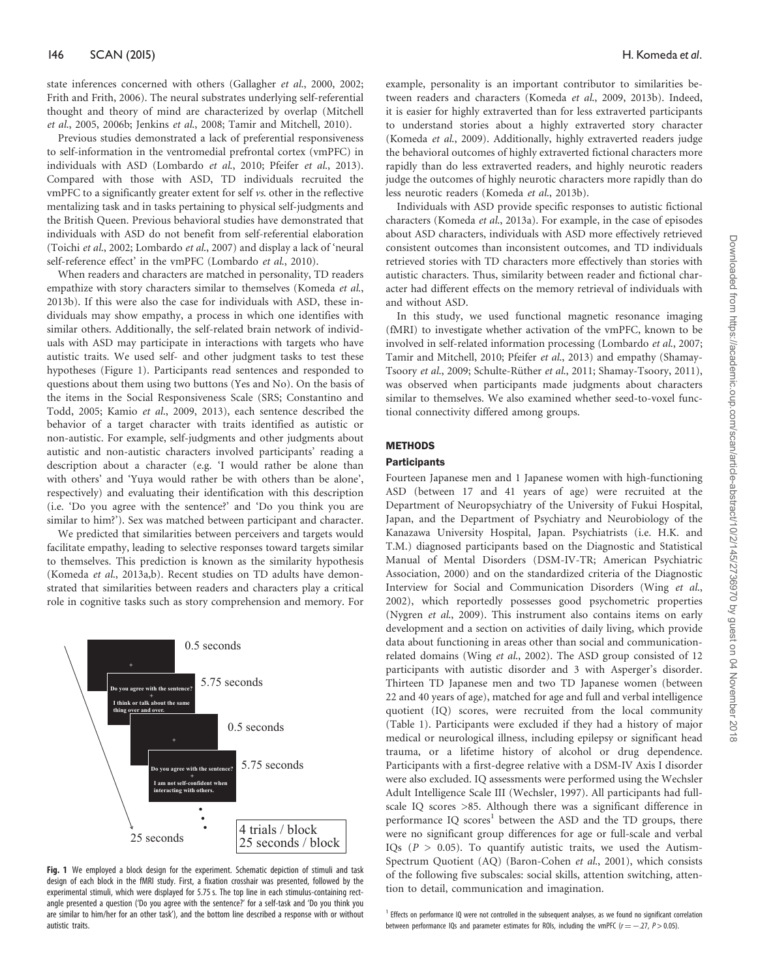<span id="page-1-0"></span>state inferences concerned with others ([Gallagher](#page-6-0) et al., 2000, [2002;](#page-6-0) [Frith and Frith, 2006](#page-6-0)). The neural substrates underlying self-referential thought and theory of mind are characterized by overlap ([Mitchell](#page-6-0) et al[., 2005](#page-6-0), [2006b; Jenkins](#page-6-0) et al., 2008; [Tamir and Mitchell, 2010\)](#page-7-0).

Previous studies demonstrated a lack of preferential responsiveness to self-information in the ventromedial prefrontal cortex (vmPFC) in individuals with ASD ([Lombardo](#page-6-0) et al., 2010; Pfeifer et al[., 2013](#page-7-0)). Compared with those with ASD, TD individuals recruited the vmPFC to a significantly greater extent for self vs. other in the reflective mentalizing task and in tasks pertaining to physical self-judgments and the British Queen. Previous behavioral studies have demonstrated that individuals with ASD do not benefit from self-referential elaboration [\(Toichi](#page-7-0) et al., 2002; [Lombardo](#page-6-0) et al., 2007) and display a lack of 'neural self-reference effect' in the vmPFC ([Lombardo](#page-6-0) et al., 2010).

When readers and characters are matched in personality, TD readers empathize with story characters similar to themselves ([Komeda](#page-6-0) et al., [2013b\)](#page-6-0). If this were also the case for individuals with ASD, these individuals may show empathy, a process in which one identifies with similar others. Additionally, the self-related brain network of individuals with ASD may participate in interactions with targets who have autistic traits. We used self- and other judgment tasks to test these hypotheses (Figure 1). Participants read sentences and responded to questions about them using two buttons (Yes and No). On the basis of the items in the Social Responsiveness Scale (SRS; [Constantino and](#page-6-0) [Todd, 2005;](#page-6-0) Kamio et al[., 2009](#page-6-0), [2013](#page-6-0)), each sentence described the behavior of a target character with traits identified as autistic or non-autistic. For example, self-judgments and other judgments about autistic and non-autistic characters involved participants' reading a description about a character (e.g. 'I would rather be alone than with others' and 'Yuya would rather be with others than be alone', respectively) and evaluating their identification with this description (i.e. 'Do you agree with the sentence?' and 'Do you think you are similar to him?'). Sex was matched between participant and character.

We predicted that similarities between perceivers and targets would facilitate empathy, leading to selective responses toward targets similar to themselves. This prediction is known as the similarity hypothesis [\(Komeda](#page-6-0) et al., 2013a[,b\)](#page-6-0). Recent studies on TD adults have demonstrated that similarities between readers and characters play a critical role in cognitive tasks such as story comprehension and memory. For



Fig. 1 We employed a block design for the experiment. Schematic depiction of stimuli and task design of each block in the fMRI study. First, a fixation crosshair was presented, followed by the experimental stimuli, which were displayed for 5.75 s. The top line in each stimulus-containing rectangle presented a question ('Do you agree with the sentence?' for a self-task and 'Do you think you are similar to him/her for an other task'), and the bottom line described a response with or without autistic traits

example, personality is an important contributor to similarities be-tween readers and characters ([Komeda](#page-6-0) et al., 2009, [2013b](#page-6-0)). Indeed, it is easier for highly extraverted than for less extraverted participants to understand stories about a highly extraverted story character [\(Komeda](#page-6-0) et al., 2009). Additionally, highly extraverted readers judge the behavioral outcomes of highly extraverted fictional characters more rapidly than do less extraverted readers, and highly neurotic readers judge the outcomes of highly neurotic characters more rapidly than do less neurotic readers ([Komeda](#page-6-0) et al., 2013b).

Individuals with ASD provide specific responses to autistic fictional characters ([Komeda](#page-6-0) et al., 2013a). For example, in the case of episodes about ASD characters, individuals with ASD more effectively retrieved consistent outcomes than inconsistent outcomes, and TD individuals retrieved stories with TD characters more effectively than stories with autistic characters. Thus, similarity between reader and fictional character had different effects on the memory retrieval of individuals with and without ASD.

In this study, we used functional magnetic resonance imaging (fMRI) to investigate whether activation of the vmPFC, known to be involved in self-related information processing [\(Lombardo](#page-6-0) et al., 2007; [Tamir and Mitchell, 2010](#page-7-0); Pfeifer et al[., 2013](#page-7-0)) and empathy [\(Shamay-](#page-7-0)[Tsoory](#page-7-0) et al., 2009; Schulte-Rüther et al., 2011; [Shamay-Tsoory, 2011](#page-7-0)), was observed when participants made judgments about characters similar to themselves. We also examined whether seed-to-voxel functional connectivity differed among groups.

## **METHODS**

## **Participants**

Fourteen Japanese men and 1 Japanese women with high-functioning ASD (between 17 and 41 years of age) were recruited at the Department of Neuropsychiatry of the University of Fukui Hospital, Japan, and the Department of Psychiatry and Neurobiology of the Kanazawa University Hospital, Japan. Psychiatrists (i.e. H.K. and T.M.) diagnosed participants based on the Diagnostic and Statistical Manual of Mental Disorders (DSM-IV-TR; [American Psychiatric](#page-6-0) [Association, 2000\)](#page-6-0) and on the standardized criteria of the Diagnostic Interview for Social and Communication Disorders ([Wing](#page-7-0) et al., [2002\)](#page-7-0), which reportedly possesses good psychometric properties [\(Nygren](#page-6-0) et al., 2009). This instrument also contains items on early development and a section on activities of daily living, which provide data about functioning in areas other than social and communication-related domains (Wing et al[., 2002](#page-7-0)). The ASD group consisted of 12 participants with autistic disorder and 3 with Asperger's disorder. Thirteen TD Japanese men and two TD Japanese women (between 22 and 40 years of age), matched for age and full and verbal intelligence quotient (IQ) scores, were recruited from the local community [\(Table 1\)](#page-2-0). Participants were excluded if they had a history of major medical or neurological illness, including epilepsy or significant head trauma, or a lifetime history of alcohol or drug dependence. Participants with a first-degree relative with a DSM-IV Axis I disorder were also excluded. IQ assessments were performed using the Wechsler Adult Intelligence Scale III ([Wechsler, 1997\)](#page-7-0). All participants had fullscale IQ scores >85. Although there was a significant difference in performance  $IQ$  scores<sup>1</sup> between the ASD and the TD groups, there were no significant group differences for age or full-scale and verbal IQs ( $P > 0.05$ ). To quantify autistic traits, we used the Autism-Spectrum Quotient (AQ) [\(Baron-Cohen](#page-6-0) et al., 2001), which consists of the following five subscales: social skills, attention switching, attention to detail, communication and imagination.

<sup>1</sup> Effects on performance IQ were not controlled in the subsequent analyses, as we found no significant correlation between performance IQs and parameter estimates for ROIs, including the vmPFC ( $r = -.27$ ,  $P > 0.05$ ).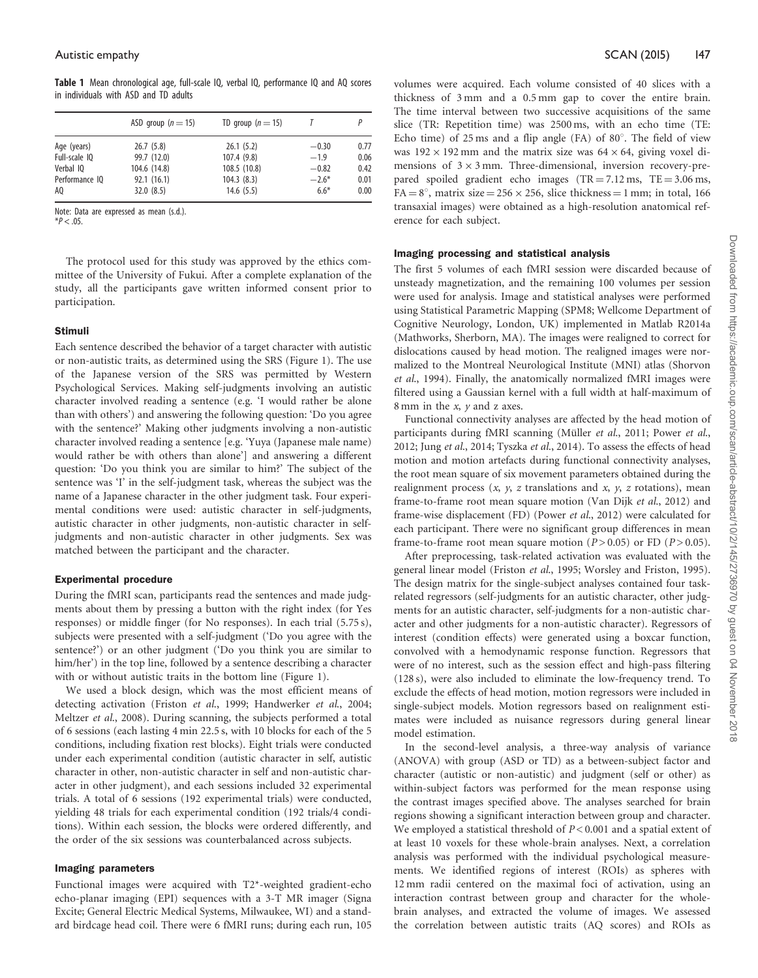<span id="page-2-0"></span>Table 1 Mean chronological age, full-scale IQ, verbal IQ, performance IQ and AQ scores in individuals with ASD and TD adults

|                | ASD group $(n=15)$ | TD group $(n=15)$ |         |      |  |
|----------------|--------------------|-------------------|---------|------|--|
| Age (years)    | 26.7(5.8)          | 26.1(5.2)         | $-0.30$ | 0.77 |  |
| Full-scale IO  | 99.7 (12.0)        | 107.4 (9.8)       | $-1.9$  | 0.06 |  |
| Verbal 10      | 104.6 (14.8)       | 108.5 (10.8)      | $-0.82$ | 0.42 |  |
| Performance 10 | 92.1(16.1)         | 104.3(8.3)        | $-2.6*$ | 0.01 |  |
| AQ.            | 32.0(8.5)          | 14.6(5.5)         | $6.6*$  | 0.00 |  |

Note: Data are expressed as mean (s.d.).  $*P < 05$ .

The protocol used for this study was approved by the ethics committee of the University of Fukui. After a complete explanation of the study, all the participants gave written informed consent prior to participation.

## Stimuli

Each sentence described the behavior of a target character with autistic or non-autistic traits, as determined using the SRS [\(Figure 1\)](#page-1-0). The use of the Japanese version of the SRS was permitted by Western Psychological Services. Making self-judgments involving an autistic character involved reading a sentence (e.g. 'I would rather be alone than with others') and answering the following question: 'Do you agree with the sentence?' Making other judgments involving a non-autistic character involved reading a sentence [e.g. 'Yuya (Japanese male name) would rather be with others than alone'] and answering a different question: 'Do you think you are similar to him?' The subject of the sentence was 'I' in the self-judgment task, whereas the subject was the name of a Japanese character in the other judgment task. Four experimental conditions were used: autistic character in self-judgments, autistic character in other judgments, non-autistic character in selfjudgments and non-autistic character in other judgments. Sex was matched between the participant and the character.

## Experimental procedure

During the fMRI scan, participants read the sentences and made judgments about them by pressing a button with the right index (for Yes responses) or middle finger (for No responses). In each trial (5.75 s), subjects were presented with a self-judgment ('Do you agree with the sentence?') or an other judgment ('Do you think you are similar to him/her') in the top line, followed by a sentence describing a character with or without autistic traits in the bottom line [\(Figure 1\)](#page-1-0).

We used a block design, which was the most efficient means of detecting activation [\(Friston](#page-6-0) et al., 1999; [Handwerker](#page-6-0) et al., 2004; [Meltzer](#page-6-0) et al., 2008). During scanning, the subjects performed a total of 6 sessions (each lasting 4 min 22.5 s, with 10 blocks for each of the 5 conditions, including fixation rest blocks). Eight trials were conducted under each experimental condition (autistic character in self, autistic character in other, non-autistic character in self and non-autistic character in other judgment), and each sessions included 32 experimental trials. A total of 6 sessions (192 experimental trials) were conducted, yielding 48 trials for each experimental condition (192 trials/4 conditions). Within each session, the blocks were ordered differently, and the order of the six sessions was counterbalanced across subjects.

## Imaging parameters

Functional images were acquired with T2\*-weighted gradient-echo echo-planar imaging (EPI) sequences with a 3-T MR imager (Signa Excite; General Electric Medical Systems, Milwaukee, WI) and a standard birdcage head coil. There were 6 fMRI runs; during each run, 105 volumes were acquired. Each volume consisted of 40 slices with a thickness of 3 mm and a 0.5 mm gap to cover the entire brain. The time interval between two successive acquisitions of the same slice (TR: Repetition time) was 2500 ms, with an echo time (TE: Echo time) of 25 ms and a flip angle (FA) of  $80^\circ$ . The field of view was  $192 \times 192$  mm and the matrix size was  $64 \times 64$ , giving voxel dimensions of  $3 \times 3$  mm. Three-dimensional, inversion recovery-prepared spoiled gradient echo images  $(TR = 7.12 \text{ ms}, TE = 3.06 \text{ ms},$  $FA = 8^\circ$ , matrix size = 256  $\times$  256, slice thickness = 1 mm; in total, 166 transaxial images) were obtained as a high-resolution anatomical reference for each subject.

# Imaging processing and statistical analysis

The first 5 volumes of each fMRI session were discarded because of unsteady magnetization, and the remaining 100 volumes per session were used for analysis. Image and statistical analyses were performed using Statistical Parametric Mapping (SPM8; Wellcome Department of Cognitive Neurology, London, UK) implemented in Matlab R2014a (Mathworks, Sherborn, MA). The images were realigned to correct for dislocations caused by head motion. The realigned images were normalized to the Montreal Neurological Institute (MNI) atlas ([Shorvon](#page-7-0) et al[., 1994](#page-7-0)). Finally, the anatomically normalized fMRI images were filtered using a Gaussian kernel with a full width at half-maximum of 8 mm in the  $x$ ,  $y$  and z axes.

Functional connectivity analyses are affected by the head motion of participants during fMRI scanning (Müller et al[., 2011](#page-6-0); [Power](#page-7-0) et al., [2012;](#page-7-0) Jung et al[., 2014](#page-6-0); [Tyszka](#page-7-0) et al., 2014). To assess the effects of head motion and motion artefacts during functional connectivity analyses, the root mean square of six movement parameters obtained during the realignment process  $(x, y, z$  translations and  $x, y, z$  rotations), mean frame-to-frame root mean square motion [\(Van Dijk](#page-7-0) et al., 2012) and frame-wise displacement (FD) (Power et al[., 2012\)](#page-7-0) were calculated for each participant. There were no significant group differences in mean frame-to-frame root mean square motion  $(P > 0.05)$  or FD  $(P > 0.05)$ .

After preprocessing, task-related activation was evaluated with the general linear model [\(Friston](#page-6-0) et al., 1995; [Worsley and Friston, 1995\)](#page-7-0). The design matrix for the single-subject analyses contained four taskrelated regressors (self-judgments for an autistic character, other judgments for an autistic character, self-judgments for a non-autistic character and other judgments for a non-autistic character). Regressors of interest (condition effects) were generated using a boxcar function, convolved with a hemodynamic response function. Regressors that were of no interest, such as the session effect and high-pass filtering (128 s), were also included to eliminate the low-frequency trend. To exclude the effects of head motion, motion regressors were included in single-subject models. Motion regressors based on realignment estimates were included as nuisance regressors during general linear model estimation.

In the second-level analysis, a three-way analysis of variance (ANOVA) with group (ASD or TD) as a between-subject factor and character (autistic or non-autistic) and judgment (self or other) as within-subject factors was performed for the mean response using the contrast images specified above. The analyses searched for brain regions showing a significant interaction between group and character. We employed a statistical threshold of  $P < 0.001$  and a spatial extent of at least 10 voxels for these whole-brain analyses. Next, a correlation analysis was performed with the individual psychological measurements. We identified regions of interest (ROIs) as spheres with 12 mm radii centered on the maximal foci of activation, using an interaction contrast between group and character for the wholebrain analyses, and extracted the volume of images. We assessed the correlation between autistic traits (AQ scores) and ROIs as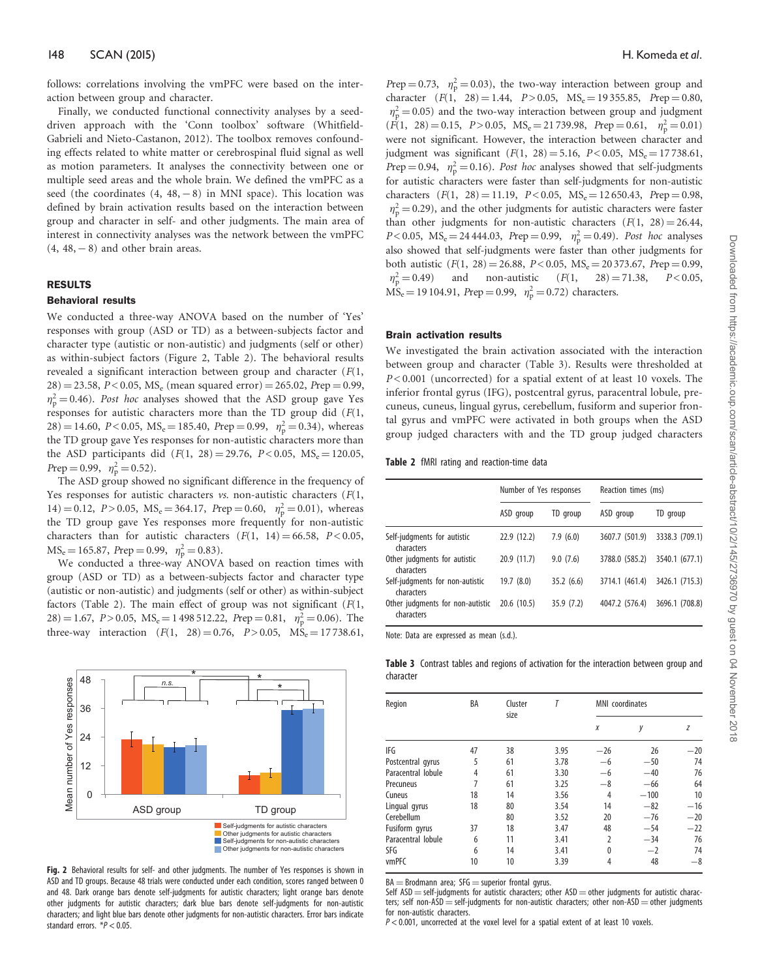follows: correlations involving the vmPFC were based on the interaction between group and character.

Finally, we conducted functional connectivity analyses by a seeddriven approach with the 'Conn toolbox' software [\(Whitfield-](#page-7-0)[Gabrieli and Nieto-Castanon, 2012](#page-7-0)). The toolbox removes confounding effects related to white matter or cerebrospinal fluid signal as well as motion parameters. It analyses the connectivity between one or multiple seed areas and the whole brain. We defined the vmPFC as a seed (the coordinates  $(4, 48, -8)$  in MNI space). This location was defined by brain activation results based on the interaction between group and character in self- and other judgments. The main area of interest in connectivity analyses was the network between the vmPFC  $(4, 48, -8)$  and other brain areas.

## RESULTS

#### Behavioral results

We conducted a three-way ANOVA based on the number of 'Yes' responses with group (ASD or TD) as a between-subjects factor and character type (autistic or non-autistic) and judgments (self or other) as within-subject factors (Figure 2, Table 2). The behavioral results revealed a significant interaction between group and character (F(1,  $28) = 23.58$ ,  $P < 0.05$ ,  $MS_e$  (mean squared error) = 265.02, Prep = 0.99,  $\eta_{\rm p}^2$  = 0.46). Post hoc analyses showed that the ASD group gave Yes responses for autistic characters more than the TD group did  $(F(1,$  $(28) = 14.60, P < 0.05, MS_e = 185.40, Prep = 0.99, \eta_p^2 = 0.34$ , whereas the TD group gave Yes responses for non-autistic characters more than the ASD participants did  $(F(1, 28) = 29.76, P < 0.05, MS_e = 120.05,$ Prep = 0.99,  $\eta_p^2 = 0.52$ ).

The ASD group showed no significant difference in the frequency of Yes responses for autistic characters  $v_s$ . non-autistic characters ( $F(1, 1)$ ) 14) = 0.12, P > 0.05, MS<sub>e</sub> = 364.17, Prep = 0.60,  $\eta_p^2 = 0.01$ ), whereas the TD group gave Yes responses more frequently for non-autistic characters than for autistic characters  $(F(1, 14) = 66.58, P < 0.05,$  $MS_e = 165.87$ , Prep = 0.99,  $\eta_p^2 = 0.83$ ).

We conducted a three-way ANOVA based on reaction times with group (ASD or TD) as a between-subjects factor and character type (autistic or non-autistic) and judgments (self or other) as within-subject factors (Table 2). The main effect of group was not significant  $(F(1,$  $28 = 1.67$ ,  $P > 0.05$ ,  $MS_e = 1498512.22$ ,  $Prep = 0.81$ ,  $\eta_p^2 = 0.06$ ). The three-way interaction  $(F(1, 28) = 0.76, P > 0.05, M\dot{S}_e = 17738.61,$ 





Prep = 0.73,  $\eta_p^2$  = 0.03), the two-way interaction between group and character  $(F(1, 28) = 1.44, P > 0.05, MS_e = 19355.85, Prep = 0.80,$  $\eta_{\rm p}^2$  = 0.05) and the two-way interaction between group and judgment  $(F(1, 28) = 0.15, P > 0.05, MS_e = 21739.98, Prep = 0.61, \eta_p^2 = 0.01)$ were not significant. However, the interaction between character and judgment was significant  $(F(1, 28) = 5.16, P < 0.05, MS_e = 17738.61,$ Prep = 0.94,  $\eta_p^2$  = 0.16). Post hoc analyses showed that self-judgments for autistic characters were faster than self-judgments for non-autistic characters  $(F(1, 28) = 11.19, P < 0.05, MS_e = 12650.43, Prep = 0.98,$  $\eta_{\rm p}^2$  = 0.29), and the other judgments for autistic characters were faster than other judgments for non-autistic characters  $(F(1, 28) = 26.44,$  $P < 0.05$ ,  $MS_e = 24\,444.03$ ,  $Prep = 0.99$ ,  $\eta_p^2 = 0.49$ ). Post hoc analyses also showed that self-judgments were faster than other judgments for both autistic  $(F(1, 28) = 26.88, P < 0.05, MS_e = 20373.67, Prep = 0.99,$  $\eta_{\rm p}^2 = 0.49$  and non-autistic  $(F(1, 28) = 71.38, P < 0.05,$  $\dot{MS}_e$  = 19 104.91, Prep = 0.99,  $\eta_p^2$  = 0.72) characters.

## Brain activation results

We investigated the brain activation associated with the interaction between group and character (Table 3). Results were thresholded at  $P < 0.001$  (uncorrected) for a spatial extent of at least 10 voxels. The inferior frontal gyrus (IFG), postcentral gyrus, paracentral lobule, precuneus, cuneus, lingual gyrus, cerebellum, fusiform and superior frontal gyrus and vmPFC were activated in both groups when the ASD group judged characters with and the TD group judged characters

Table 2 fMRI rating and reaction-time data

|                                                            | Number of Yes responses |           | Reaction times (ms) |                |  |  |
|------------------------------------------------------------|-------------------------|-----------|---------------------|----------------|--|--|
|                                                            | ASD group               | TD group  | ASD group           | TD group       |  |  |
| Self-judgments for autistic<br>characters                  | 22.9(12.2)              | 7.9(6.0)  | 3607.7 (501.9)      | 3338.3 (709.1) |  |  |
| Other judgments for autistic<br>characters                 | 20.9 (11.7)             | 9.0(7.6)  | 3788.0 (585.2)      | 3540.1 (677.1) |  |  |
| Self-judgments for non-autistic<br>characters              | 19.7(8.0)               | 35.2(6.6) | 3714.1 (461.4)      | 3426.1 (715.3) |  |  |
| Other judgments for non-autistic 20.6 (10.5)<br>characters |                         | 35.9(7.2) | 4047.2 (576.4)      | 3696.1 (708.8) |  |  |

Note: Data are expressed as mean (s.d.).

**Table 3** Contrast tables and regions of activation for the interaction between group and character

| Region             | BA | Cluster<br>size |      | MNI coordinates |        |       |  |
|--------------------|----|-----------------|------|-----------------|--------|-------|--|
|                    |    |                 |      | X               | у      | Z     |  |
| IFG                | 47 | 38              | 3.95 | $-26$           | 26     | $-20$ |  |
| Postcentral gyrus  | 5  | 61              | 3.78 | -6              | $-50$  | 74    |  |
| Paracentral lobule | 4  | 61              | 3.30 | -6              | $-40$  | 76    |  |
| Precuneus          | 7  | 61              | 3.25 | $-8$            | $-66$  | 64    |  |
| Cuneus             | 18 | 14              | 3.56 | 4               | $-100$ | 10    |  |
| Lingual gyrus      | 18 | 80              | 3.54 | 14              | $-82$  | $-16$ |  |
| Cerebellum         |    | 80              | 3.52 | 20              | $-76$  | $-20$ |  |
| Fusiform gyrus     | 37 | 18              | 3.47 | 48              | $-54$  | $-22$ |  |
| Paracentral lobule | 6  | 11              | 3.41 | 2               | $-34$  | 76    |  |
| SFG                | 6  | 14              | 3.41 | 0               | $-2$   | 74    |  |
| vmPFC              | 10 | 10              | 3.39 | 4               | 48     | $-8$  |  |

 $BA =$ Brodmann area; SFG  $=$  superior frontal gyrus.

Self ASD  $=$  self-judgments for autistic characters; other ASD  $=$  other judgments for autistic characters; self non-ASD  $=$  self-judgments for non-autistic characters; other non-ASD  $=$  other judgments for non-autistic characters.

 $P < 0.001$ , uncorrected at the voxel level for a spatial extent of at least 10 voxels.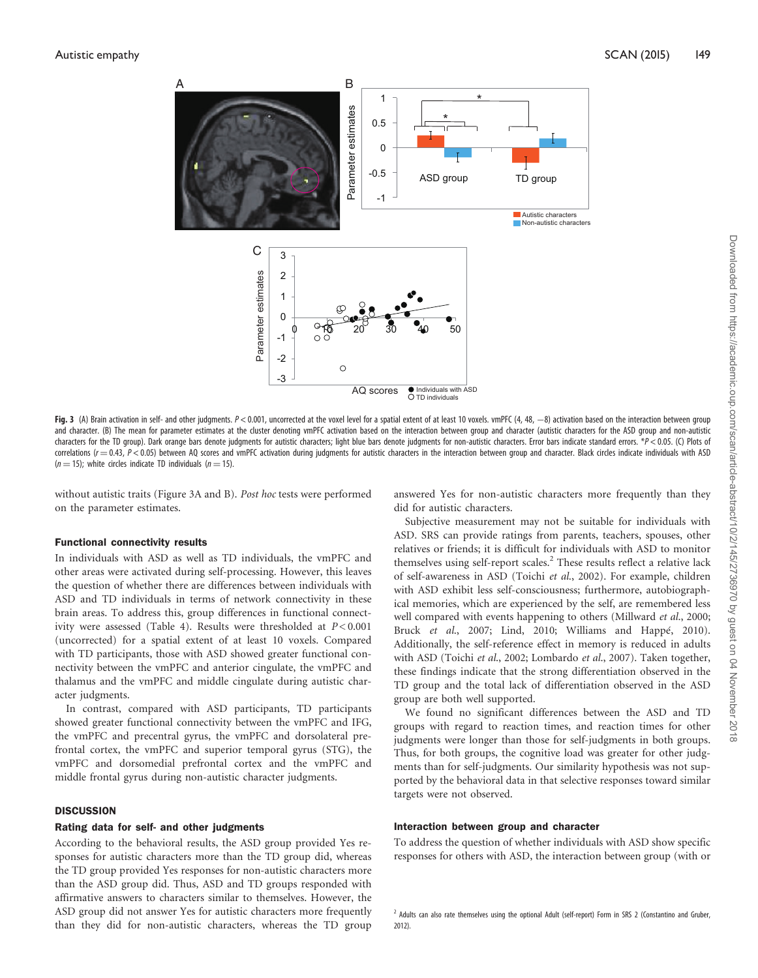

Fig. 3 (A) Brain activation in self- and other judgments. P< 0.001, uncorrected at the voxel level for a spatial extent of at least 10 voxels. vmPFC (4, 48,  $-$ 8) activation based on the interaction between group and character. (B) The mean for parameter estimates at the cluster denoting vmPFC activation based on the interaction between group and character (autistic characters for the ASD group and non-autistic characters for the TD group). Dark orange bars denote judgments for autistic characters; light blue bars denote judgments for non-autistic characters. Error bars indicate standard errors. \*P < 0.05. (C) Plots of correlations  $(r = 0.43, P < 0.05)$  between AQ scores and vmPFC activation during judgments for autistic characters in the interaction between group and character. Black circles indicate individuals with ASD  $(n = 15)$ ; white circles indicate TD individuals  $(n = 15)$ .

without autistic traits (Figure 3A and B). Post hoc tests were performed on the parameter estimates.

answered Yes for non-autistic characters more frequently than they did for autistic characters.

#### Functional connectivity results

In individuals with ASD as well as TD individuals, the vmPFC and other areas were activated during self-processing. However, this leaves the question of whether there are differences between individuals with ASD and TD individuals in terms of network connectivity in these brain areas. To address this, group differences in functional connect-ivity were assessed [\(Table 4\)](#page-5-0). Results were thresholded at  $P < 0.001$ (uncorrected) for a spatial extent of at least 10 voxels. Compared with TD participants, those with ASD showed greater functional connectivity between the vmPFC and anterior cingulate, the vmPFC and thalamus and the vmPFC and middle cingulate during autistic character judgments.

In contrast, compared with ASD participants, TD participants showed greater functional connectivity between the vmPFC and IFG, the vmPFC and precentral gyrus, the vmPFC and dorsolateral prefrontal cortex, the vmPFC and superior temporal gyrus (STG), the vmPFC and dorsomedial prefrontal cortex and the vmPFC and middle frontal gyrus during non-autistic character judgments.

# **DISCUSSION**

## Rating data for self- and other judgments

According to the behavioral results, the ASD group provided Yes responses for autistic characters more than the TD group did, whereas the TD group provided Yes responses for non-autistic characters more than the ASD group did. Thus, ASD and TD groups responded with affirmative answers to characters similar to themselves. However, the ASD group did not answer Yes for autistic characters more frequently than they did for non-autistic characters, whereas the TD group

Subjective measurement may not be suitable for individuals with ASD. SRS can provide ratings from parents, teachers, spouses, other relatives or friends; it is difficult for individuals with ASD to monitor themselves using self-report scales.<sup>2</sup> These results reflect a relative lack of self-awareness in ASD (Toichi et al[., 2002](#page-7-0)). For example, children with ASD exhibit less self-consciousness; furthermore, autobiographical memories, which are experienced by the self, are remembered less well compared with events happening to others [\(Millward](#page-6-0) et al., 2000; Bruck et al[., 2007; Lind, 2010](#page-6-0); [Williams and Happ](#page-7-0)é, 2010). Additionally, the self-reference effect in memory is reduced in adults with ASD (Toichi et al[., 2002;](#page-7-0) [Lombardo](#page-6-0) et al., 2007). Taken together, these findings indicate that the strong differentiation observed in the TD group and the total lack of differentiation observed in the ASD group are both well supported.

We found no significant differences between the ASD and TD groups with regard to reaction times, and reaction times for other judgments were longer than those for self-judgments in both groups. Thus, for both groups, the cognitive load was greater for other judgments than for self-judgments. Our similarity hypothesis was not supported by the behavioral data in that selective responses toward similar targets were not observed.

## Interaction between group and character

To address the question of whether individuals with ASD show specific responses for others with ASD, the interaction between group (with or

<sup>&</sup>lt;sup>2</sup> Adults can also rate themselves using the optional Adult (self-report) Form in SRS 2 ([Constantino and Gruber,](#page-6-0) [2012](#page-6-0)).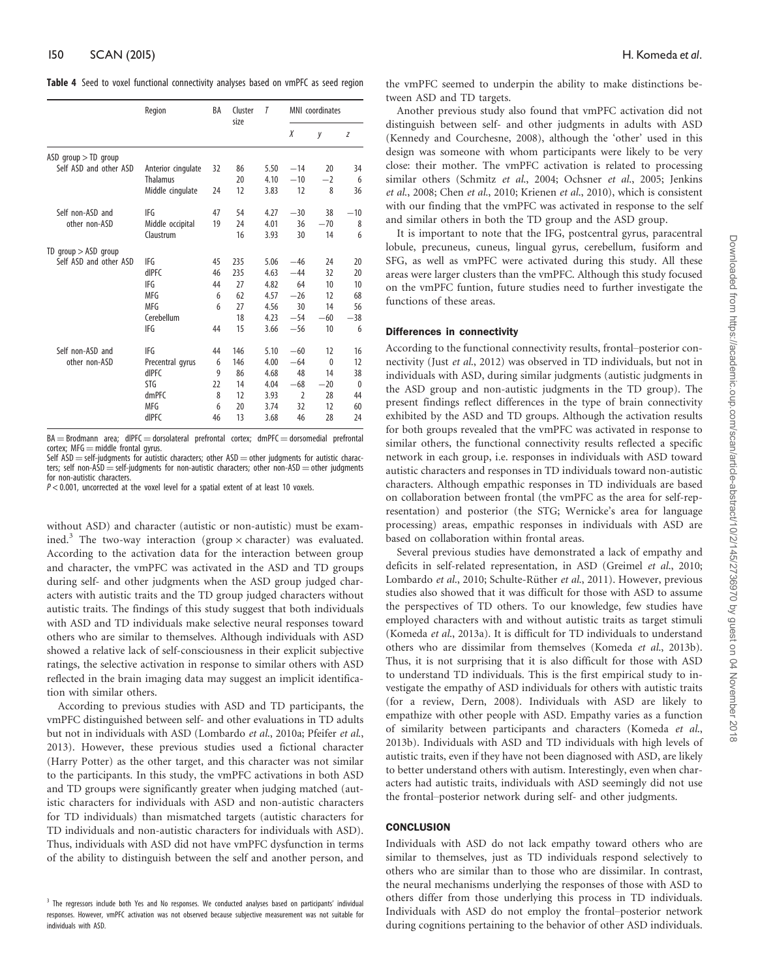<span id="page-5-0"></span>Table 4 Seed to voxel functional connectivity analyses based on vmPFC as seed region

|                        | Region             | BA | Cluster<br>size | T    | MNI coordinates |              |          |
|------------------------|--------------------|----|-----------------|------|-----------------|--------------|----------|
|                        |                    |    |                 |      | Χ               | y            | Z        |
| ASD group $>$ TD group |                    |    |                 |      |                 |              |          |
| Self ASD and other ASD | Anterior cingulate | 32 | 86              | 5.50 | $-14$           | 20           | 34       |
|                        | <b>Thalamus</b>    |    | 20              | 4.10 | $-10$           | $-2$         | 6        |
|                        | Middle cingulate   | 24 | 12              | 3.83 | 12              | 8            | 36       |
| Self non-ASD and       | IFG                | 47 | 54              | 4.27 | $-30$           | 38           | $-10$    |
| other non-ASD          | Middle occipital   | 19 | 24              | 4.01 | 36              | $-70$        | 8        |
|                        | Claustrum          |    | 16              | 3.93 | 30              | 14           | 6        |
| TD group $>$ ASD group |                    |    |                 |      |                 |              |          |
| Self ASD and other ASD | IFG                | 45 | 235             | 5.06 | $-46$           | 24           | 20       |
|                        | dIPFC              | 46 | 235             | 4.63 | $-44$           | 32           | 20       |
|                        | IFG                | 44 | 27              | 4.82 | 64              | 10           | 10       |
|                        | MFG                | 6  | 62              | 4.57 | $-26$           | 12           | 68       |
|                        | <b>MFG</b>         | 6  | 27              | 4.56 | 30              | 14           | 56       |
|                        | Cerebellum         |    | 18              | 4.23 | $-54$           | $-60$        | $-38$    |
|                        | IFG                | 44 | 15              | 3.66 | $-56$           | 10           | 6        |
| Self non-ASD and       | IFG                | 44 | 146             | 5.10 | $-60$           | 12           | 16       |
| other non-ASD          | Precentral gyrus   | 6  | 146             | 4.00 | $-64$           | $\mathbf{0}$ | 12       |
|                        | dIPFC              | 9  | 86              | 4.68 | 48              | 14           | 38       |
|                        | STG                | 22 | 14              | 4.04 | $-68$           | $-20$        | $\theta$ |
|                        | dmPFC              | 8  | 12              | 3.93 | $\overline{2}$  | 28           | 44       |
|                        | MFG                | 6  | 20              | 3.74 | 32              | 12           | 60       |
|                        | dIPFC              | 46 | 13              | 3.68 | 46              | 28           | 24       |

 $BA =$ Brodmann area; dlPFC  $=$  dorsolateral prefrontal cortex; dmPFC  $=$  dorsomedial prefrontal  $cortex: MFG = middle$  frontal gyrus.

Self  $ASD = self-judgments$  for autistic characters; other  $ASD =$  other judgments for autistic characters; self non-ASD  $=$  self-judgments for non-autistic characters; other non-ASD  $=$  other judgments for non-autistic characters.

 $P < 0.001$ , uncorrected at the voxel level for a spatial extent of at least 10 voxels.

without ASD) and character (autistic or non-autistic) must be examined.<sup>3</sup> The two-way interaction (group  $\times$  character) was evaluated. According to the activation data for the interaction between group and character, the vmPFC was activated in the ASD and TD groups during self- and other judgments when the ASD group judged characters with autistic traits and the TD group judged characters without autistic traits. The findings of this study suggest that both individuals with ASD and TD individuals make selective neural responses toward others who are similar to themselves. Although individuals with ASD showed a relative lack of self-consciousness in their explicit subjective ratings, the selective activation in response to similar others with ASD reflected in the brain imaging data may suggest an implicit identification with similar others.

According to previous studies with ASD and TD participants, the vmPFC distinguished between self- and other evaluations in TD adults but not in individuals with ASD [\(Lombardo](#page-6-0) et al., 2010a; [Pfeifer](#page-7-0) et al., [2013](#page-7-0)). However, these previous studies used a fictional character (Harry Potter) as the other target, and this character was not similar to the participants. In this study, the vmPFC activations in both ASD and TD groups were significantly greater when judging matched (autistic characters for individuals with ASD and non-autistic characters for TD individuals) than mismatched targets (autistic characters for TD individuals and non-autistic characters for individuals with ASD). Thus, individuals with ASD did not have vmPFC dysfunction in terms of the ability to distinguish between the self and another person, and the vmPFC seemed to underpin the ability to make distinctions between ASD and TD targets.

Another previous study also found that vmPFC activation did not distinguish between self- and other judgments in adults with ASD [\(Kennedy and Courchesne, 2008](#page-6-0)), although the 'other' used in this design was someone with whom participants were likely to be very close: their mother. The vmPFC activation is related to processing similar others ([Schmitz](#page-7-0) et al., 2004; [Ochsner](#page-7-0) et al., 2005; [Jenkins](#page-6-0) et al[., 2008;](#page-6-0) Chen et al[., 2010](#page-6-0); [Krienen](#page-6-0) et al., 2010), which is consistent with our finding that the vmPFC was activated in response to the self and similar others in both the TD group and the ASD group.

It is important to note that the IFG, postcentral gyrus, paracentral lobule, precuneus, cuneus, lingual gyrus, cerebellum, fusiform and SFG, as well as vmPFC were activated during this study. All these areas were larger clusters than the vmPFC. Although this study focused on the vmPFC funtion, future studies need to further investigate the functions of these areas.

#### Differences in connectivity

According to the functional connectivity results, frontal–posterior connectivity (Just et al[., 2012\)](#page-6-0) was observed in TD individuals, but not in individuals with ASD, during similar judgments (autistic judgments in the ASD group and non-autistic judgments in the TD group). The present findings reflect differences in the type of brain connectivity exhibited by the ASD and TD groups. Although the activation results for both groups revealed that the vmPFC was activated in response to similar others, the functional connectivity results reflected a specific network in each group, i.e. responses in individuals with ASD toward autistic characters and responses in TD individuals toward non-autistic characters. Although empathic responses in TD individuals are based on collaboration between frontal (the vmPFC as the area for self-representation) and posterior (the STG; Wernicke's area for language processing) areas, empathic responses in individuals with ASD are based on collaboration within frontal areas.

Several previous studies have demonstrated a lack of empathy and deficits in self-related representation, in ASD [\(Greimel](#page-6-0) et al., 2010; [Lombardo](#page-6-0) et al., 2010; Schulte-Rüther et al., 2011). However, previous studies also showed that it was difficult for those with ASD to assume the perspectives of TD others. To our knowledge, few studies have employed characters with and without autistic traits as target stimuli [\(Komeda](#page-6-0) et al., 2013a). It is difficult for TD individuals to understand others who are dissimilar from themselves ([Komeda](#page-6-0) et al., 2013b). Thus, it is not surprising that it is also difficult for those with ASD to understand TD individuals. This is the first empirical study to investigate the empathy of ASD individuals for others with autistic traits (for a review, [Dern, 2008](#page-6-0)). Individuals with ASD are likely to empathize with other people with ASD. Empathy varies as a function of similarity between participants and characters [\(Komeda](#page-6-0) et al., [2013b\)](#page-6-0). Individuals with ASD and TD individuals with high levels of autistic traits, even if they have not been diagnosed with ASD, are likely to better understand others with autism. Interestingly, even when characters had autistic traits, individuals with ASD seemingly did not use the frontal–posterior network during self- and other judgments.

## **CONCLUSION**

Individuals with ASD do not lack empathy toward others who are similar to themselves, just as TD individuals respond selectively to others who are similar than to those who are dissimilar. In contrast, the neural mechanisms underlying the responses of those with ASD to others differ from those underlying this process in TD individuals. Individuals with ASD do not employ the frontal–posterior network during cognitions pertaining to the behavior of other ASD individuals.

<sup>&</sup>lt;sup>3</sup> The regressors include both Yes and No responses. We conducted analyses based on participants' individual responses. However, vmPFC activation was not observed because subjective measurement was not suitable for individuals with ASD.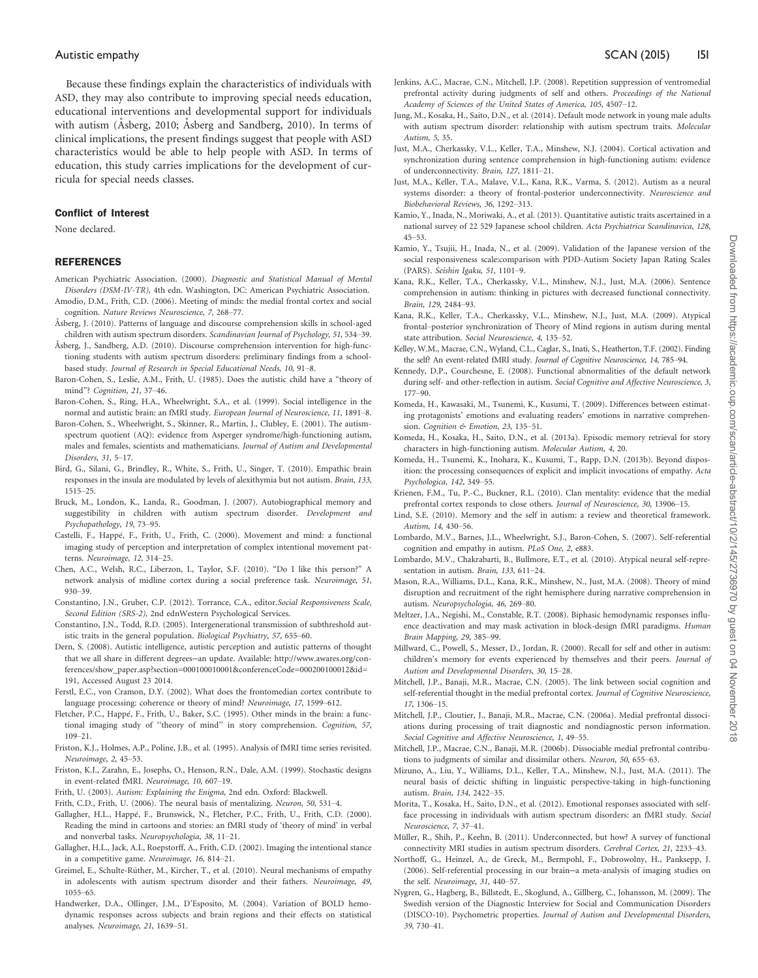<span id="page-6-0"></span>Because these findings explain the characteristics of individuals with ASD, they may also contribute to improving special needs education, educational interventions and developmental support for individuals with autism (Åsberg, 2010; Åsberg and Sandberg, 2010). In terms of clinical implications, the present findings suggest that people with ASD characteristics would be able to help people with ASD. In terms of education, this study carries implications for the development of curricula for special needs classes.

## Conflict of Interest

None declared.

#### **REFERENCES**

- American Psychiatric Association. (2000). Diagnostic and Statistical Manual of Mental Disorders (DSM-IV-TR), 4th edn. Washington, DC: American Psychiatric Association. Amodio, D.M., Frith, C.D. (2006). Meeting of minds: the medial frontal cortex and social
- cognition. Nature Reviews Neuroscience, 7, 268–77. Åsberg, J. (2010). Patterns of language and discourse comprehension skills in school-aged children with autism spectrum disorders. Scandinavian Journal of Psychology, 51, 534–39.
- Åsberg, J., Sandberg, A.D. (2010). Discourse comprehension intervention for high-functioning students with autism spectrum disorders: preliminary findings from a schoolbased study. Journal of Research in Special Educational Needs, 10, 91–8.
- Baron-Cohen, S., Leslie, A.M., Frith, U. (1985). Does the autistic child have a "theory of mind"? Cognition, 21, 37–46.
- Baron-Cohen, S., Ring, H.A., Wheelwright, S.A., et al. (1999). Social intelligence in the normal and autistic brain: an fMRI study. European Journal of Neuroscience, 11, 1891–8.
- Baron-Cohen, S., Wheelwright, S., Skinner, R., Martin, J., Clubley, E. (2001). The autismspectrum quotient (AQ): evidence from Asperger syndrome/high-functioning autism, males and females, scientists and mathematicians. Journal of Autism and Developmental Disorders, 31, 5–17.
- Bird, G., Silani, G., Brindley, R., White, S., Frith, U., Singer, T. (2010). Empathic brain responses in the insula are modulated by levels of alexithymia but not autism. Brain, 133, 1515–25.
- Bruck, M., London, K., Landa, R., Goodman, J. (2007). Autobiographical memory and suggestibility in children with autism spectrum disorder. Development and Psychopathology, 19, 73–95.
- Castelli, F., Happé, F., Frith, U., Frith, C. (2000). Movement and mind: a functional imaging study of perception and interpretation of complex intentional movement patterns. Neuroimage, 12, 314–25.
- Chen, A.C., Welsh, R.C., Liberzon, I., Taylor, S.F. (2010). "Do I like this person?" A network analysis of midline cortex during a social preference task. Neuroimage, 51, 930–39.
- Constantino, J.N., Gruber, C.P. (2012). Torrance, C.A., editor.Social Responsiveness Scale, Second Edition (SRS-2), 2nd ednWestern Psychological Services.
- Constantino, J.N., Todd, R.D. (2005). Intergenerational transmission of subthreshold autistic traits in the general population. Biological Psychiatry, 57, 655–60.
- Dern, S. (2008). Autistic intelligence, autistic perception and autistic patterns of thought that we all share in different degrees-an update. Available: [http://www.awares.org/con](http://www.awares.org/conferences/show_paper.asp?section=000100010001&conferenceCode=000200100012&id=191)[ferences/show\\_paper.asp?section=000100010001&conferenceCode=000200100012&id=](http://www.awares.org/conferences/show_paper.asp?section=000100010001&conferenceCode=000200100012&id=191) [191](http://www.awares.org/conferences/show_paper.asp?section=000100010001&conferenceCode=000200100012&id=191), Accessed August 23 2014.
- Ferstl, E.C., von Cramon, D.Y. (2002). What does the frontomedian cortex contribute to language processing: coherence or theory of mind? Neuroimage, 17, 1599–612.
- Fletcher, P.C., Happé, F., Frith, U., Baker, S.C. (1995). Other minds in the brain: a functional imaging study of ''theory of mind'' in story comprehension. Cognition, 57, 109–21.
- Friston, K.J., Holmes, A.P., Poline, J.B., et al. (1995). Analysis of fMRI time series revisited. Neuroimage, 2, 45–53.
- Friston, K.J., Zarahn, E., Josephs, O., Henson, R.N., Dale, A.M. (1999). Stochastic designs in event-related fMRI. Neuroimage, 10, 607–19.
- Frith, U. (2003). Autism: Explaining the Enigma, 2nd edn. Oxford: Blackwell.
- Frith, C.D., Frith, U. (2006). The neural basis of mentalizing. Neuron, 50, 531–4.
- Gallagher, H.L., Happé, F., Brunswick, N., Fletcher, P.C., Frith, U., Frith, C.D. (2000). Reading the mind in cartoons and stories: an fMRI study of 'theory of mind' in verbal and nonverbal tasks. Neuropsychologia, 38, 11–21.
- Gallagher, H.L., Jack, A.I., Roepstorff, A., Frith, C.D. (2002). Imaging the intentional stance in a competitive game. Neuroimage, 16, 814–21.
- Greimel, E., Schulte-Rüther, M., Kircher, T., et al. (2010). Neural mechanisms of empathy in adolescents with autism spectrum disorder and their fathers. Neuroimage, 49, 1055–65.
- Handwerker, D.A., Ollinger, J.M., D'Esposito, M. (2004). Variation of BOLD hemodynamic responses across subjects and brain regions and their effects on statistical analyses. Neuroimage, 21, 1639–51.
- Jenkins, A.C., Macrae, C.N., Mitchell, J.P. (2008). Repetition suppression of ventromedial prefrontal activity during judgments of self and others. Proceedings of the National Academy of Sciences of the United States of America, 105, 4507–12.
- Jung, M., Kosaka, H., Saito, D.N., et al. (2014). Default mode network in young male adults with autism spectrum disorder: relationship with autism spectrum traits. Molecular Autism, 5, 35.
- Just, M.A., Cherkassky, V.L., Keller, T.A., Minshew, N.J. (2004). Cortical activation and synchronization during sentence comprehension in high-functioning autism: evidence of underconnectivity. Brain, 127, 1811–21.
- Just, M.A., Keller, T.A., Malave, V.L., Kana, R.K., Varma, S. (2012). Autism as a neural systems disorder: a theory of frontal-posterior underconnectivity. Neuroscience and Biobehavioral Reviews, 36, 1292–313.
- Kamio, Y., Inada, N., Moriwaki, A., et al. (2013). Quantitative autistic traits ascertained in a national survey of 22 529 Japanese school children. Acta Psychiatrica Scandinavica, 128, 45–53.
- Kamio, Y., Tsujii, H., Inada, N., et al. (2009). Validation of the Japanese version of the social responsiveness scale:comparison with PDD-Autism Society Japan Rating Scales (PARS). Seishin Igaku, 51, 1101–9.
- Kana, R.K., Keller, T.A., Cherkassky, V.L., Minshew, N.J., Just, M.A. (2006). Sentence comprehension in autism: thinking in pictures with decreased functional connectivity. Brain, 129, 2484–93.
- Kana, R.K., Keller, T.A., Cherkassky, V.L., Minshew, N.J., Just, M.A. (2009). Atypical frontal–posterior synchronization of Theory of Mind regions in autism during mental state attribution. Social Neuroscience, 4, 135–52.
- Kelley, W.M., Macrae, C.N., Wyland, C.L., Caglar, S., Inati, S., Heatherton, T.F. (2002). Finding the self? An event-related fMRI study. Journal of Cognitive Neuroscience, 14, 785–94.
- Kennedy, D.P., Courchesne, E. (2008). Functional abnormalities of the default network during self- and other-reflection in autism. Social Cognitive and Affective Neuroscience, 3, 177–90.
- Komeda, H., Kawasaki, M., Tsunemi, K., Kusumi, T. (2009). Differences between estimating protagonists' emotions and evaluating readers' emotions in narrative comprehension. Cognition & Emotion, 23, 135-51.
- Komeda, H., Kosaka, H., Saito, D.N., et al. (2013a). Episodic memory retrieval for story characters in high-functioning autism. Molecular Autism, 4, 20.
- Komeda, H., Tsunemi, K., Inohara, K., Kusumi, T., Rapp, D.N. (2013b). Beyond disposition: the processing consequences of explicit and implicit invocations of empathy. Acta Psychologica, 142, 349–55.
- Krienen, F.M., Tu, P.-C., Buckner, R.L. (2010). Clan mentality: evidence that the medial prefrontal cortex responds to close others. Journal of Neuroscience, 30, 13906–15.
- Lind, S.E. (2010). Memory and the self in autism: a review and theoretical framework. Autism, 14, 430–56.
- Lombardo, M.V., Barnes, J.L., Wheelwright, S.J., Baron-Cohen, S. (2007). Self-referential cognition and empathy in autism. PLoS One, 2, e883.
- Lombardo, M.V., Chakrabarti, B., Bullmore, E.T., et al. (2010). Atypical neural self-representation in autism. Brain, 133, 611–24.
- Mason, R.A., Williams, D.L., Kana, R.K., Minshew, N., Just, M.A. (2008). Theory of mind disruption and recruitment of the right hemisphere during narrative comprehension in autism. Neuropsychologia, 46, 269–80.
- Meltzer, J.A., Negishi, M., Constable, R.T. (2008). Biphasic hemodynamic responses influence deactivation and may mask activation in block-design fMRI paradigms. Human Brain Mapping, 29, 385–99.
- Millward, C., Powell, S., Messer, D., Jordan, R. (2000). Recall for self and other in autism: children's memory for events experienced by themselves and their peers. Journal of Autism and Developmental Disorders, 30, 15–28.
- Mitchell, J.P., Banaji, M.R., Macrae, C.N. (2005). The link between social cognition and self-referential thought in the medial prefrontal cortex. Journal of Cognitive Neuroscience, 17, 1306–15.
- Mitchell, J.P., Cloutier, J., Banaji, M.R., Macrae, C.N. (2006a). Medial prefrontal dissociations during processing of trait diagnostic and nondiagnostic person information. Social Cognitive and Affective Neuroscience, 1, 49–55.
- Mitchell, J.P., Macrae, C.N., Banaji, M.R. (2006b). Dissociable medial prefrontal contributions to judgments of similar and dissimilar others. Neuron, 50, 655–63.
- Mizuno, A., Liu, Y., Williams, D.L., Keller, T.A., Minshew, N.J., Just, M.A. (2011). The neural basis of deictic shifting in linguistic perspective-taking in high-functioning autism. Brain, 134, 2422–35.
- Morita, T., Kosaka, H., Saito, D.N., et al. (2012). Emotional responses associated with selfface processing in individuals with autism spectrum disorders: an fMRI study. Social Neuroscience, 7, 37–41.
- Müller, R., Shih, P., Keehn, B. (2011). Underconnected, but how? A survey of functional connectivity MRI studies in autism spectrum disorders. Cerebral Cortex, 21, 2233–43.
- Northoff, G., Heinzel, A., de Greck, M., Bermpohl, F., Dobrowolny, H., Panksepp, J. (2006). Self-referential processing in our brain-a meta-analysis of imaging studies on the self. Neuroimage, 31, 440–57.
- Nygren, G., Hagberg, B., Billstedt, E., Skoglund, A., Gillberg, C., Johansson, M. (2009). The Swedish version of the Diagnostic Interview for Social and Communication Disorders (DISCO-10). Psychometric properties. Journal of Autism and Developmental Disorders, 39, 730–41.